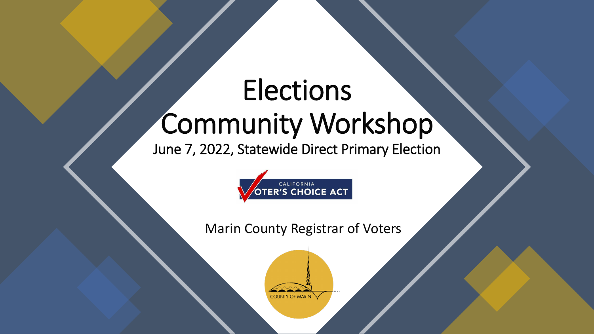# Elections Community Workshop

June 7, 2022, Statewide Direct Primary Election



Marin County Registrar of Voters

**COUNTY OF MARIN**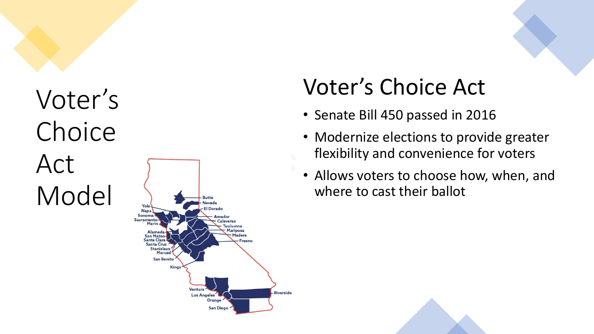

### Voter's Choice Act

- Senate Bill 450 passed in 2016
- Modernize elections to provide greater fl e x ibility and convenience for voters
- Allows voters to choose how, when, and where to cast their ballot

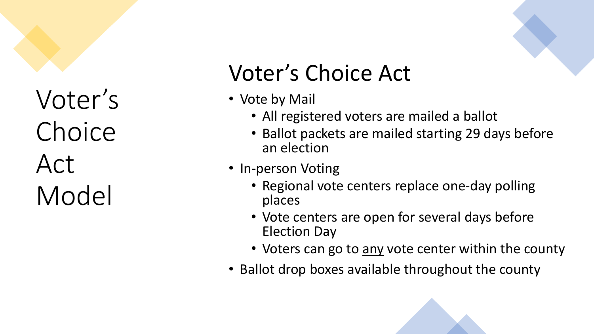## Voter's Choice Act

- Vote by Mail
	- All registered voters are mailed a ballot
	- Ballot packets are mailed starting 29 days before an election
- In-person Voting
	- Regional vote centers replace one-day polling places
	- Vote centers are open for several days before Election Day
	- Voters can go to any vote center within the county
- Ballot drop boxes available throughout the county

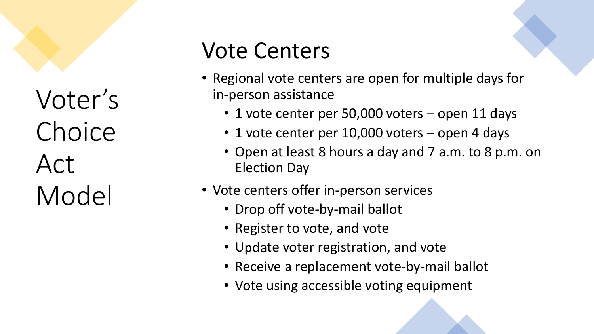## Vote Centers

- Regional vote centers are open for multiple days for in-person assistance
	- 1 vote center per 50,000 voters open 11 days
	- 1 vote center per 10,000 voters open 4 days
	- Open at least 8 hours a day and 7 a.m. to 8 p.m. on Election Day
- Vote centers offer in-person services
	- Drop off vote-by-mail ballot
	- Register to vote, and vote
	- Update voter registration, and vote
	- Receive a replacement vote-by-mail ballot
	- Vote using accessible voting equipment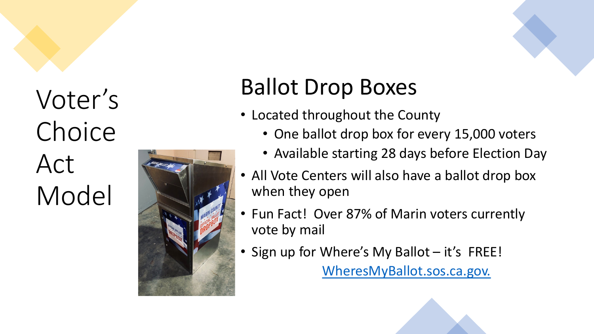

# Ballot Drop Boxes

- Located throughout the County
	- One ballot drop box for every 15,000 voters
	- Available starting 28 days before Election Day
- All Vote Centers will also have a ballot drop box when the y ope n
- Fun Fact! Over 87% of Marin voters currently<br>vote by mail
- Sign up for Where's My Ballot it's FREE! [WheresMyBallot.sos.ca.gov.](https://california.ballottrax.net/voter/)

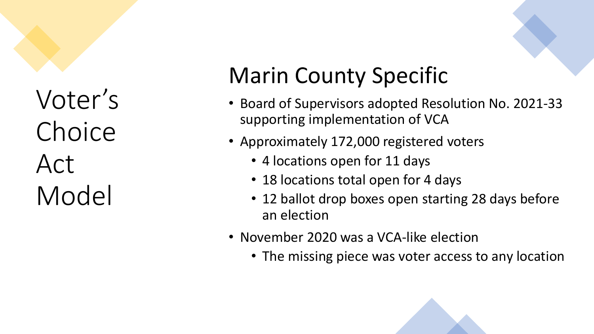# Marin County Specific

- Board of Supervisors adopted Resolution No. 2021 -33 supporting implementation of VCA
- Approximately 172,000 registered voters
	- 4 locations open for 11 days
	- 18 locations total open for 4 days
	- 12 ballot drop boxes open starting 28 days before an election
- November 2020 was a VCA-like election
	- The missing piece was voter access to any location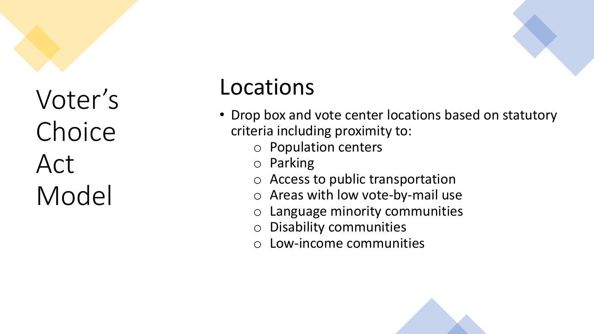### Locations

- Drop box and vote center locations based on statutory criteria including proximity to:
	- o Population centers
	- o Parking
	- o Access to public transportation
	- o Areas with low vote-by-mail use
	- o Language minority communities
	- o Disability communities
	- o Low-income communities

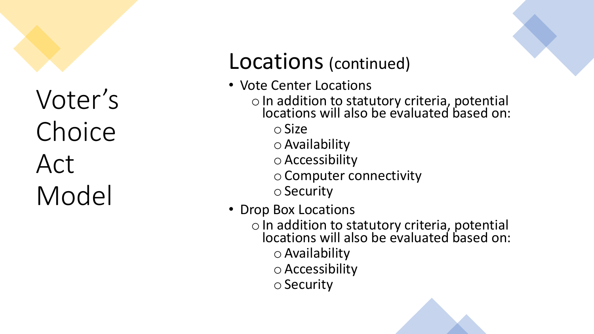### Locations (continued)

- Vote Center Locations
	- <sup>o</sup>In addition to statutory criteria, potential locations will also be evaluated based on:

oSize

 $\circ$  Availability

oAccessibility

oComputer connectivity

 $\circ$  Security

- Drop Box Locations
	- o In addition to statutory criteria, potential locations will also be evaluated based on:  $\circ$  Availability oAccessibility

 $\circ$  Security

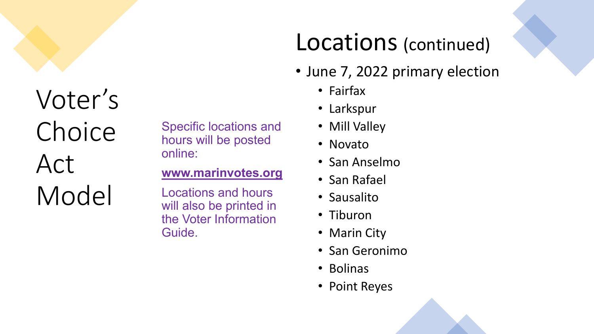Specific locations and hours will be posted online:

#### **[www.marinvotes.org](http://www.marinvotes.org/)**

Locations and hours will also be printed in the Voter Information Guide.

### Locations (continued)

- June 7, 2022 primary election
	- Fairfax
	- Larkspur
	- Mill Valley
	- Novato
	- San Anselmo
	- San Rafael
	- Sausalito
	- Tiburon
	- Marin City
	- San Geronimo
	- Bolinas
	- Point Reyes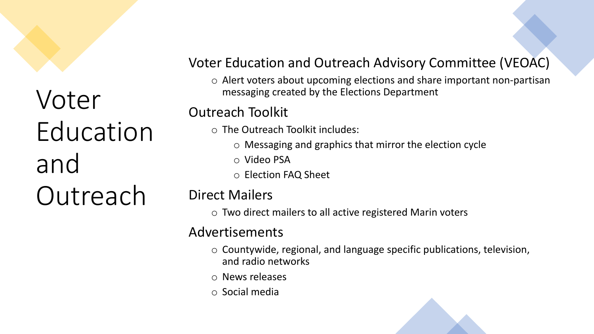

#### Voter Education and Outreach Advisory Committee (VEOAC)

o Alert voters about upcoming elections and share important non-partisan messaging created by the Elections Department

#### Outreach Toolkit

- o The Outreach Toolkit includes:
	- o Messaging and graphics that mirror the election cycle
	- o Video PSA
	- o Election FAQ Sheet

#### Direct Mailers

o Two direct mailers to all active registered Marin voters

#### Advertisements

- o Countywide, regional, and language specific publications, television, and radio networks
- o News releases
- o Social media

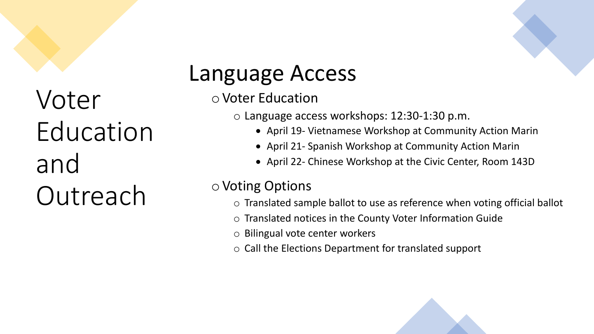## Language Access

o Voter Education

o Language access workshops: 12:30-1:30 p.m.

- April 19- Vietnamese Workshop at Community Action Marin
- April 21- Spanish Workshop at Community Action Marin
- April 22- Chinese Workshop at the Civic Center, Room 143D

#### o Voting Options

- o Translated sample ballot to use as reference when voting official ballot
- o Translated notices in the County Voter Information Guide
- o Bilingual vote center workers
- o Call the Elections Department for translated support

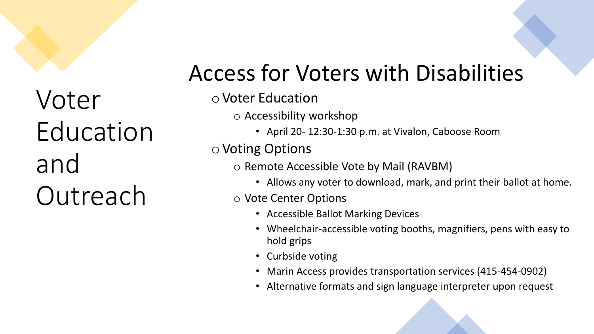### Access for Voters with Disabilities

#### oVoter Education

o Accessibility workshop

• April 20- 12:30-1:30 p.m. at Vivalon, Caboose Room

oVoting Options

o Remote Accessible Vote by Mail (RAVBM)

• Allows any voter to download, mark, and print their ballot at home.

#### o Vote Center Options

- Accessible Ballot Marking Devices
- Wheelchair-accessible voting booths, magnifiers, pens with easy to hold grips
- Curbside voting
- Marin Access provides transportation services (415-454-0902)
- Alternative formats and sign language interpreter upon request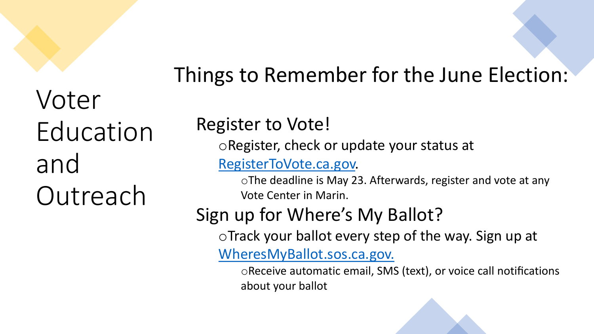### Things to Remember for the June Election:

### Register to Vote!

oRegister, check or update your status at

[RegisterToVote.ca.gov.](https://registertovote.ca.gov/)

oThe deadline is May 23. Afterwards, register and vote at any Vote Center in Marin.

### Sign up for Where's My Ballot?

oTrack your ballot every step of the way. Sign up at

[WheresMyBallot.sos.ca.gov.](https://california.ballottrax.net/voter/)

oReceive automatic email, SMS (text), or voice call notifications about your ballot